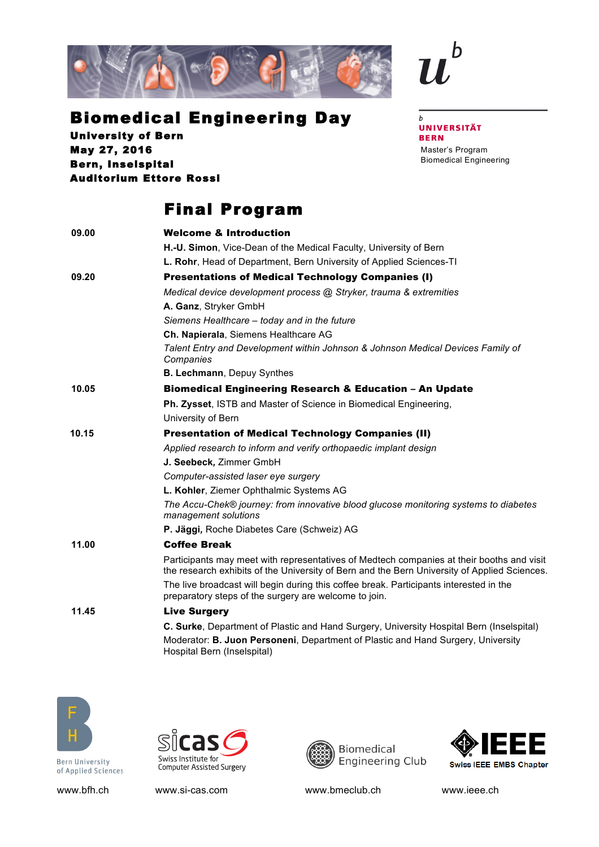



## Biomedical Engineering Day

University of Bern May 27, 2016 Bern, Inselspital Auditorium Ettore Rossi

## Final Program

| 09.00 | <b>Welcome &amp; Introduction</b>                                                                                                                                                         |
|-------|-------------------------------------------------------------------------------------------------------------------------------------------------------------------------------------------|
|       | H.-U. Simon, Vice-Dean of the Medical Faculty, University of Bern                                                                                                                         |
|       | L. Rohr, Head of Department, Bern University of Applied Sciences-TI                                                                                                                       |
| 09.20 | <b>Presentations of Medical Technology Companies (I)</b>                                                                                                                                  |
|       | Medical device development process @ Stryker, trauma & extremities                                                                                                                        |
|       | A. Ganz, Stryker GmbH                                                                                                                                                                     |
|       | Siemens Healthcare - today and in the future                                                                                                                                              |
|       | Ch. Napierala, Siemens Healthcare AG                                                                                                                                                      |
|       | Talent Entry and Development within Johnson & Johnson Medical Devices Family of<br>Companies                                                                                              |
|       | B. Lechmann, Depuy Synthes                                                                                                                                                                |
| 10.05 | <b>Biomedical Engineering Research &amp; Education - An Update</b>                                                                                                                        |
|       | Ph. Zysset, ISTB and Master of Science in Biomedical Engineering,                                                                                                                         |
|       | University of Bern                                                                                                                                                                        |
| 10.15 | <b>Presentation of Medical Technology Companies (II)</b>                                                                                                                                  |
|       | Applied research to inform and verify orthopaedic implant design                                                                                                                          |
|       | J. Seebeck, Zimmer GmbH                                                                                                                                                                   |
|       | Computer-assisted laser eye surgery                                                                                                                                                       |
|       | L. Kohler, Ziemer Ophthalmic Systems AG                                                                                                                                                   |
|       | The Accu-Chek® journey: from innovative blood glucose monitoring systems to diabetes<br>management solutions                                                                              |
|       | P. Jäggi, Roche Diabetes Care (Schweiz) AG                                                                                                                                                |
| 11.00 | <b>Coffee Break</b>                                                                                                                                                                       |
|       | Participants may meet with representatives of Medtech companies at their booths and visit<br>the research exhibits of the University of Bern and the Bern University of Applied Sciences. |
|       | The live broadcast will begin during this coffee break. Participants interested in the<br>preparatory steps of the surgery are welcome to join.                                           |
| 11.45 | <b>Live Surgery</b>                                                                                                                                                                       |
|       | C. Surke, Department of Plastic and Hand Surgery, University Hospital Bern (Inselspital)                                                                                                  |
|       | Moderator: B. Juon Personeni, Department of Plastic and Hand Surgery, University<br>Hospital Bern (Inselspital)                                                                           |



**Bern University** of Applied Sciences







www.bfh.ch www.si-cas.com www.bmeclub.ch www.bmextee.ch

 $\boldsymbol{b}$ **UNIVERSITÄT BERN** Master's Program

Biomedical Engineering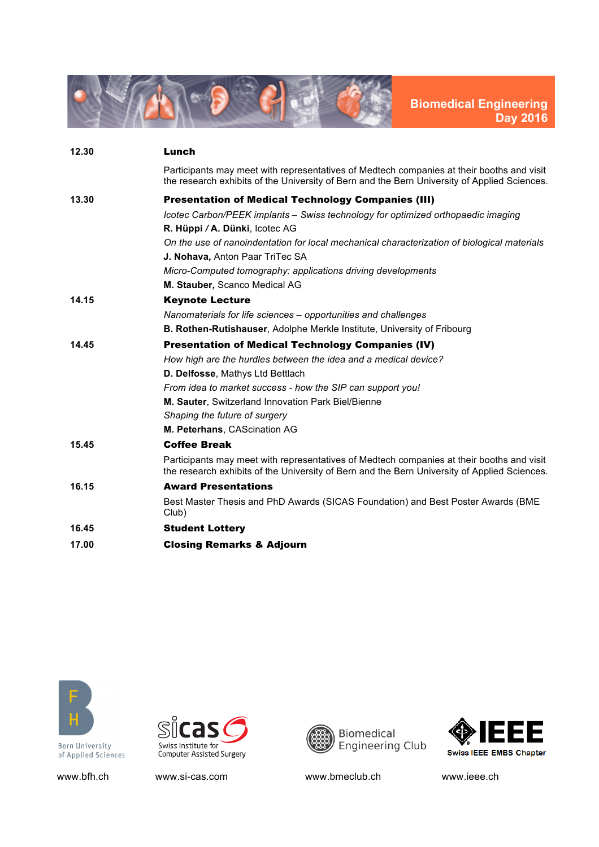

| 12.30 | Lunch                                                                                                                                                                                     |
|-------|-------------------------------------------------------------------------------------------------------------------------------------------------------------------------------------------|
|       | Participants may meet with representatives of Medtech companies at their booths and visit<br>the research exhibits of the University of Bern and the Bern University of Applied Sciences. |
| 13.30 | <b>Presentation of Medical Technology Companies (III)</b>                                                                                                                                 |
|       | Icotec Carbon/PEEK implants – Swiss technology for optimized orthopaedic imaging                                                                                                          |
|       | R. Hüppi / A. Dünki, Icotec AG                                                                                                                                                            |
|       | On the use of nanoindentation for local mechanical characterization of biological materials                                                                                               |
|       | J. Nohava, Anton Paar TriTec SA                                                                                                                                                           |
|       | Micro-Computed tomography: applications driving developments                                                                                                                              |
|       | M. Stauber, Scanco Medical AG                                                                                                                                                             |
| 14.15 | <b>Keynote Lecture</b>                                                                                                                                                                    |
|       | Nanomaterials for life sciences - opportunities and challenges                                                                                                                            |
|       | <b>B. Rothen-Rutishauser, Adolphe Merkle Institute, University of Fribourg</b>                                                                                                            |
| 14.45 | <b>Presentation of Medical Technology Companies (IV)</b>                                                                                                                                  |
|       | How high are the hurdles between the idea and a medical device?                                                                                                                           |
|       | D. Delfosse, Mathys Ltd Bettlach                                                                                                                                                          |
|       | From idea to market success - how the SIP can support you!                                                                                                                                |
|       | M. Sauter. Switzerland Innovation Park Biel/Bienne                                                                                                                                        |
|       | Shaping the future of surgery                                                                                                                                                             |
|       | M. Peterhans, CAScination AG                                                                                                                                                              |
| 15.45 | <b>Coffee Break</b>                                                                                                                                                                       |
|       | Participants may meet with representatives of Medtech companies at their booths and visit<br>the research exhibits of the University of Bern and the Bern University of Applied Sciences. |
| 16.15 | <b>Award Presentations</b>                                                                                                                                                                |
|       | Best Master Thesis and PhD Awards (SICAS Foundation) and Best Poster Awards (BME<br>Club)                                                                                                 |
| 16.45 | <b>Student Lottery</b>                                                                                                                                                                    |
| 17.00 | <b>Closing Remarks &amp; Adjourn</b>                                                                                                                                                      |



of Applied Sciences



www.bfh.ch www.si-cas.com www.bmeclub.ch www.ieee.ch

Biomedical<br>Engineering Club